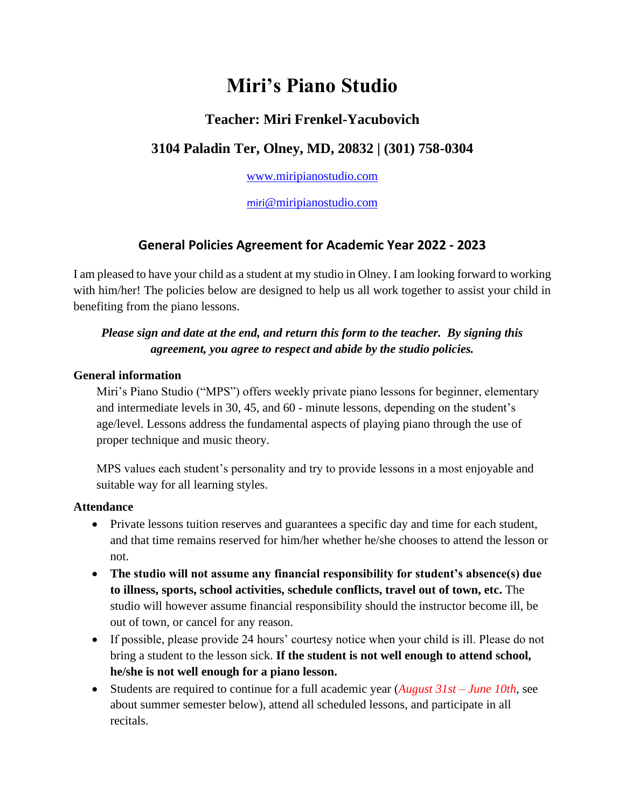# **Miri's Piano Studio**

## **Teacher: Miri Frenkel-Yacubovich**

## **3104 Paladin Ter, Olney, MD, 20832 | (301) 758-0304**

[www.miripianostudio.com](http://www.miripianostudio.com/)

[miri](mailto:miri@miripianostudio.com)[@miripianostudio.com](mailto:miri@miripianostudio.com)

## **General Policies Agreement for Academic Year 2022 - 2023**

I am pleased to have your child as a student at my studio in Olney. I am looking forward to working with him/her! The policies below are designed to help us all work together to assist your child in benefiting from the piano lessons.

## *Please sign and date at the end, and return this form to the teacher. By signing this agreement, you agree to respect and abide by the studio policies.*

## **General information**

Miri's Piano Studio ("MPS") offers weekly private piano lessons for beginner, elementary and intermediate levels in 30, 45, and 60 - minute lessons, depending on the student's age/level. Lessons address the fundamental aspects of playing piano through the use of proper technique and music theory.

MPS values each student's personality and try to provide lessons in a most enjoyable and suitable way for all learning styles.

## **Attendance**

- Private lessons tuition reserves and guarantees a specific day and time for each student, and that time remains reserved for him/her whether he/she chooses to attend the lesson or not.
- **The studio will not assume any financial responsibility for student's absence(s) due to illness, sports, school activities, schedule conflicts, travel out of town, etc.** The studio will however assume financial responsibility should the instructor become ill, be out of town, or cancel for any reason.
- If possible, please provide 24 hours' courtesy notice when your child is ill. Please do not bring a student to the lesson sick. **If the student is not well enough to attend school, he/she is not well enough for a piano lesson.**
- Students are required to continue for a full academic year (*August 31st – June 10th*, see about summer semester below), attend all scheduled lessons, and participate in all recitals.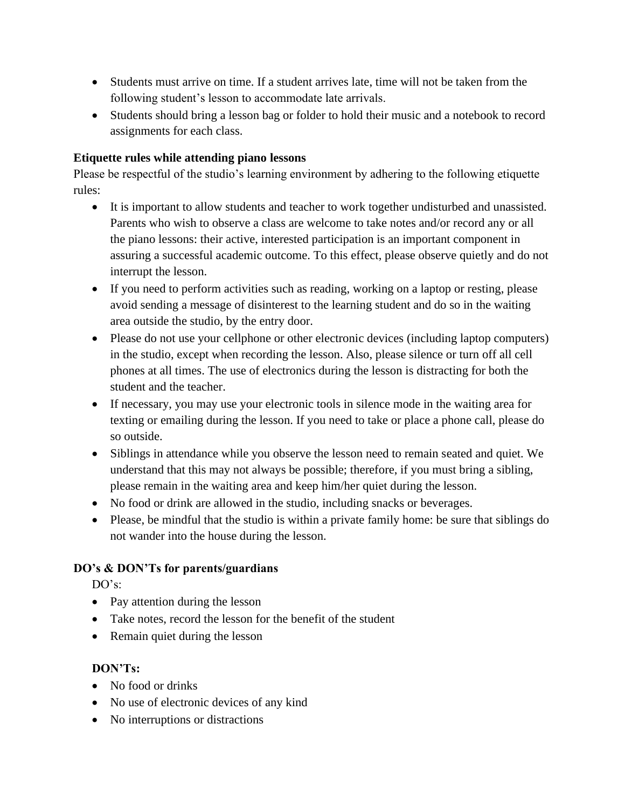- Students must arrive on time. If a student arrives late, time will not be taken from the following student's lesson to accommodate late arrivals.
- Students should bring a lesson bag or folder to hold their music and a notebook to record assignments for each class.

## **Etiquette rules while attending piano lessons**

Please be respectful of the studio's learning environment by adhering to the following etiquette rules:

- It is important to allow students and teacher to work together undisturbed and unassisted. Parents who wish to observe a class are welcome to take notes and/or record any or all the piano lessons: their active, interested participation is an important component in assuring a successful academic outcome. To this effect, please observe quietly and do not interrupt the lesson.
- If you need to perform activities such as reading, working on a laptop or resting, please avoid sending a message of disinterest to the learning student and do so in the waiting area outside the studio, by the entry door.
- Please do not use your cellphone or other electronic devices (including laptop computers) in the studio, except when recording the lesson. Also, please silence or turn off all cell phones at all times. The use of electronics during the lesson is distracting for both the student and the teacher.
- If necessary, you may use your electronic tools in silence mode in the waiting area for texting or emailing during the lesson. If you need to take or place a phone call, please do so outside.
- Siblings in attendance while you observe the lesson need to remain seated and quiet. We understand that this may not always be possible; therefore, if you must bring a sibling, please remain in the waiting area and keep him/her quiet during the lesson.
- No food or drink are allowed in the studio, including snacks or beverages.
- Please, be mindful that the studio is within a private family home: be sure that siblings do not wander into the house during the lesson.

## **DO's & DON'Ts for parents/guardians**

DO's:

- Pay attention during the lesson
- Take notes, record the lesson for the benefit of the student
- Remain quiet during the lesson

## **DON'Ts:**

- No food or drinks
- No use of electronic devices of any kind
- No interruptions or distractions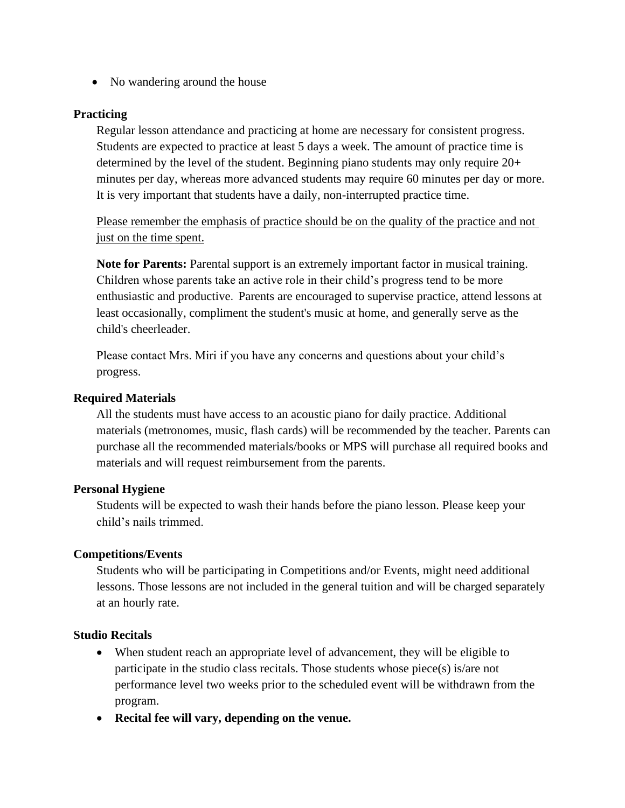• No wandering around the house

#### **Practicing**

Regular lesson attendance and practicing at home are necessary for consistent progress. Students are expected to practice at least 5 days a week. The amount of practice time is determined by the level of the student. Beginning piano students may only require 20+ minutes per day, whereas more advanced students may require 60 minutes per day or more. It is very important that students have a daily, non-interrupted practice time.

Please remember the emphasis of practice should be on the quality of the practice and not just on the time spent.

**Note for Parents:** Parental support is an extremely important factor in musical training. Children whose parents take an active role in their child's progress tend to be more enthusiastic and productive. Parents are encouraged to supervise practice, attend lessons at least occasionally, compliment the student's music at home, and generally serve as the child's cheerleader.

Please contact Mrs. Miri if you have any concerns and questions about your child's progress.

#### **Required Materials**

All the students must have access to an acoustic piano for daily practice. Additional materials (metronomes, music, flash cards) will be recommended by the teacher. Parents can purchase all the recommended materials/books or MPS will purchase all required books and materials and will request reimbursement from the parents.

#### **Personal Hygiene**

Students will be expected to wash their hands before the piano lesson. Please keep your child's nails trimmed.

#### **Competitions/Events**

Students who will be participating in Competitions and/or Events, might need additional lessons. Those lessons are not included in the general tuition and will be charged separately at an hourly rate.

#### **Studio Recitals**

- When student reach an appropriate level of advancement, they will be eligible to participate in the studio class recitals. Those students whose piece(s) is/are not performance level two weeks prior to the scheduled event will be withdrawn from the program.
- **Recital fee will vary, depending on the venue.**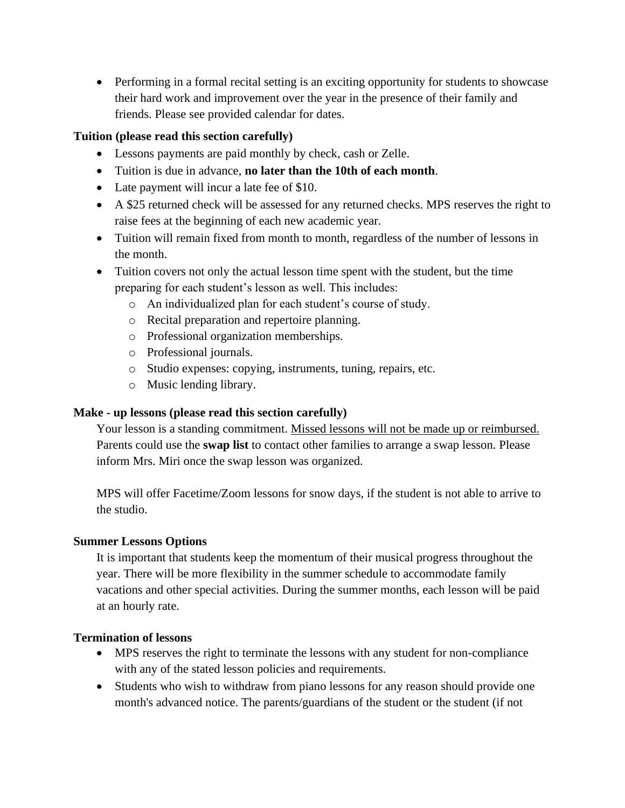• Performing in a formal recital setting is an exciting opportunity for students to showcase their hard work and improvement over the year in the presence of their family and friends. Please see provided calendar for dates.

### **Tuition (please read this section carefully)**

- Lessons payments are paid monthly by check, cash or Zelle.
- Tuition is due in advance, **no later than the 10th of each month**.
- Late payment will incur a late fee of \$10.
- A \$25 returned check will be assessed for any returned checks. MPS reserves the right to raise fees at the beginning of each new academic year.
- Tuition will remain fixed from month to month, regardless of the number of lessons in the month.
- Tuition covers not only the actual lesson time spent with the student, but the time preparing for each student's lesson as well. This includes:
	- o An individualized plan for each student's course of study.
	- o Recital preparation and repertoire planning.
	- o Professional organization memberships.
	- o Professional journals.
	- o Studio expenses: copying, instruments, tuning, repairs, etc.
	- o Music lending library.

## **Make - up lessons (please read this section carefully)**

Your lesson is a standing commitment. Missed lessons will not be made up or reimbursed. Parents could use the **swap list** to contact other families to arrange a swap lesson. Please inform Mrs. Miri once the swap lesson was organized.

MPS will offer Facetime/Zoom lessons for snow days, if the student is not able to arrive to the studio.

## **Summer Lessons Options**

It is important that students keep the momentum of their musical progress throughout the year. There will be more flexibility in the summer schedule to accommodate family vacations and other special activities. During the summer months, each lesson will be paid at an hourly rate.

## **Termination of lessons**

- MPS reserves the right to terminate the lessons with any student for non-compliance with any of the stated lesson policies and requirements.
- Students who wish to withdraw from piano lessons for any reason should provide one month's advanced notice. The parents/guardians of the student or the student (if not